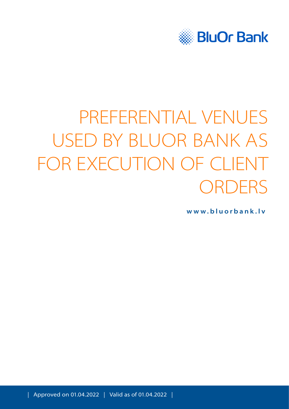

# PREFERENTIAL VENUES USED BY BLUOR BANK AS FOR EXECUTION OF CLIENT **ORDERS**

**[www.bluorbank.lv](https://www.bluorbank.lv/en/index)**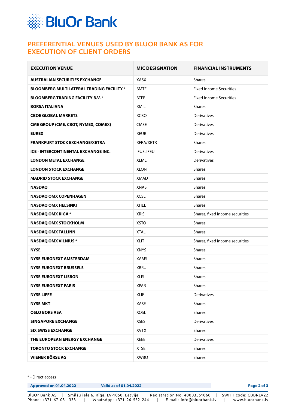

## **PREFERENTIAL VENUES USED BY BLUOR BANK AS FOR EXECUTION OF CLIENT ORDERS**

| <b>EXECUTION VENUE</b>                           | <b>MIC DESIGNATION</b>       | <b>FINANCIAL INSTRUMENTS</b>    |  |
|--------------------------------------------------|------------------------------|---------------------------------|--|
| <b>AUSTRALIAN SECURITIES EXCHANGE</b>            | XASX                         | <b>Shares</b>                   |  |
| <b>BLOOMBERG MULTILATERAL TRADING FACILITY *</b> | <b>BMTF</b>                  | <b>Fixed Income Securities</b>  |  |
| <b>BLOOMBERG TRADING FACILITY B.V. *</b>         | <b>BTFE</b>                  | <b>Fixed Income Securities</b>  |  |
| <b>BORSA ITALIANA</b>                            | XMIL                         | <b>Shares</b>                   |  |
| <b>CBOE GLOBAL MARKETS</b>                       | <b>XCBO</b>                  | <b>Derivatives</b>              |  |
| <b>CME GROUP (CME, CBOT, NYMEX, COMEX)</b>       | <b>CMEE</b>                  | <b>Derivatives</b>              |  |
| <b>EUREX</b>                                     | <b>XEUR</b>                  | <b>Derivatives</b>              |  |
| <b>FRANKFURT STOCK EXCHANGE/XETRA</b>            | <b>XFRA/XETR</b>             | <b>Shares</b>                   |  |
| ICE - INTERCONTINENTAL EXCHANGE INC.             | IFUS, IFEU                   | Derivatives                     |  |
| <b>LONDON METAL EXCHANGE</b>                     | <b>XLME</b>                  | <b>Derivatives</b>              |  |
| <b>LONDON STOCK EXCHANGE</b>                     | <b>XLON</b>                  | <b>Shares</b>                   |  |
| <b>MADRID STOCK EXCHANGE</b>                     | <b>XMAD</b>                  | <b>Shares</b>                   |  |
| <b>NASDAQ</b>                                    | <b>XNAS</b>                  | <b>Shares</b>                   |  |
| <b>NASDAQ OMX COPENHAGEN</b>                     | <b>XCSE</b>                  | <b>Shares</b>                   |  |
| <b>NASDAQ OMX HELSINKI</b>                       | <b>XHEL</b>                  | <b>Shares</b>                   |  |
| <b>NASDAQ OMX RIGA *</b>                         | <b>XRIS</b>                  | Shares, fixed income securities |  |
| <b>NASDAQ OMX STOCKHOLM</b>                      | <b>XSTO</b>                  | <b>Shares</b>                   |  |
| <b>NASDAQ OMX TALLINN</b>                        | <b>XTAL</b>                  | <b>Shares</b>                   |  |
| <b>NASDAQ OMX VILNIUS *</b>                      | <b>XLIT</b>                  | Shares, fixed income securities |  |
| <b>NYSE</b>                                      | <b>XNYS</b>                  | <b>Shares</b>                   |  |
| <b>NYSE EURONEXT AMSTERDAM</b>                   | <b>XAMS</b>                  | <b>Shares</b>                   |  |
| <b>NYSE EURONEXT BRUSSELS</b>                    | <b>XBRU</b>                  | <b>Shares</b>                   |  |
| <b>NYSE EURONEXT LISBON</b>                      | <b>XLIS</b>                  | <b>Shares</b>                   |  |
| <b>NYSE EURONEXT PARIS</b>                       | <b>XPAR</b>                  | Shares                          |  |
| <b>NYSE LIFFE</b>                                | <b>XLIF</b>                  | <b>Derivatives</b>              |  |
| <b>NYSE MKT</b>                                  | XASE                         | <b>Shares</b>                   |  |
| <b>OSLO BORS ASA</b>                             | <b>XOSL</b>                  | <b>Shares</b>                   |  |
| <b>SINGAPORE EXCHANGE</b>                        | <b>XSES</b>                  | <b>Derivatives</b>              |  |
| <b>SIX SWISS EXCHANGE</b>                        | <b>XVTX</b><br><b>Shares</b> |                                 |  |
| THE EUROPEAN ENERGY EXCHANGE                     | <b>XEEE</b>                  | Derivatives                     |  |
| <b>TORONTO STOCK EXCHANGE</b>                    | <b>XTSE</b>                  | <b>Shares</b>                   |  |
| <b>WIENER BÖRSE AG</b>                           | XWBO                         | Shares                          |  |

\* - Direct access

| <b>Approved on 01.04.2022</b> | Valid as of 01.04.2022                |                              | Page 2 of 3          |
|-------------------------------|---------------------------------------|------------------------------|----------------------|
| BluOr Bank AS                 | Smilšu iela 6, Rīga, LV-1050, Latvija | Registration No. 40003551060 | SWIFT code: CBBRLV22 |
| Phone: +371 67 031 333        | WhatsApp: +371 26 552 244             | E-mail: info@bluorbank.lv    | www.bluorbank.lv     |